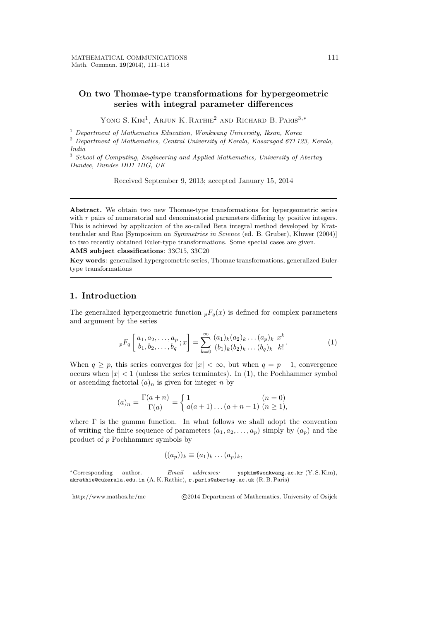# **On two Thomae-type transformations for hypergeometric series with integral parameter differences**

YONG S. KIM<sup>1</sup>, ARJUN K. RATHIE<sup>2</sup> AND RICHARD B. PARIS<sup>3,∗</sup>

<sup>1</sup> *Department of Mathematics Education, Wonkwang University, Iksan, Korea*

<sup>2</sup> *Department of Mathematics, Central University of Kerala, Kasaragad 671 123, Kerala, India*

<sup>3</sup> *School of Computing, Engineering and Applied Mathematics, University of Abertay Dundee, Dundee DD1 1HG, UK*

Received September 9, 2013; accepted January 15, 2014

**Abstract.** We obtain two new Thomae-type transformations for hypergeometric series with *r* pairs of numeratorial and denominatorial parameters differing by positive integers. This is achieved by application of the so-called Beta integral method developed by Krattenthaler and Rao [Symposium on *Symmetries in Science* (ed. B. Gruber), Kluwer (2004)] to two recently obtained Euler-type transformations. Some special cases are given.

**AMS subject classifications**: 33C15, 33C20

**Key words**: generalized hypergeometric series, Thomae transformations, generalized Eulertype transformations

### **1. Introduction**

The generalized hypergeometric function  $pF_q(x)$  is defined for complex parameters and argument by the series

$$
{}_{p}F_{q}\left[\begin{array}{c} a_{1}, a_{2}, \ldots, a_{p} \\ b_{1}, b_{2}, \ldots, b_{q} \end{array}; x\right] = \sum_{k=0}^{\infty} \frac{(a_{1})_{k}(a_{2})_{k} \ldots (a_{p})_{k}}{(b_{1})_{k}(b_{2})_{k} \ldots (b_{q})_{k}} \frac{x^{k}}{k!}.
$$
 (1)

When  $q \geq p$ , this series converges for  $|x| < \infty$ , but when  $q = p - 1$ , convergence occurs when  $|x| < 1$  (unless the series terminates). In (1), the Pochhammer symbol or ascending factorial  $(a)_n$  is given for integer *n* by

$$
(a)_n = \frac{\Gamma(a+n)}{\Gamma(a)} = \begin{cases} 1 & (n = 0) \\ a(a+1)\dots(a+n-1) & (n \ge 1), \end{cases}
$$

where  $\Gamma$  is the gamma function. In what follows we shall adopt the convention of writing the finite sequence of parameters  $(a_1, a_2, \ldots, a_p)$  simply by  $(a_p)$  and the product of *p* Pochhammer symbols by

$$
((a_p))_k \equiv (a_1)_k \dots (a_p)_k,
$$

http://www.mathos.hr/mc *<i>Q*2014 Department of Mathematics, University of Osijek

*<sup>∗</sup>*Corresponding author. *Email addresses:* yspkim@wonkwang.ac.kr (Y. S. Kim), akrathie@cukerala.edu.in (A. K. Rathie), r.paris@abertay.ac.uk (R. B. Paris)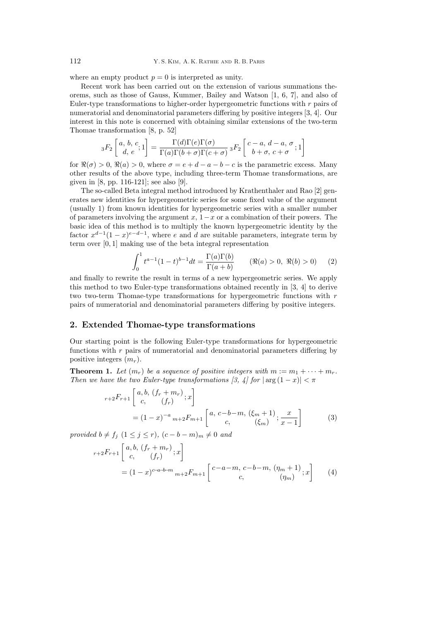where an empty product  $p = 0$  is interpreted as unity.

Recent work has been carried out on the extension of various summations theorems, such as those of Gauss, Kummer, Bailey and Watson [1, 6, 7], and also of Euler-type transformations to higher-order hypergeometric functions with *r* pairs of numeratorial and denominatorial parameters differing by positive integers [3, 4]. Our interest in this note is concerned with obtaining similar extensions of the two-term Thomae transformation [8, p. 52]

$$
{}_3F_2\left[\begin{array}{cc} a, b, c \\ d, e \end{array}; 1\right] = \frac{\Gamma(d)\Gamma(e)\Gamma(\sigma)}{\Gamma(a)\Gamma(b+\sigma)\Gamma(c+\sigma)} \, {}_3F_2\left[\begin{array}{cc} c-a, d-a, \sigma \\ b+\sigma, c+\sigma \end{array}; 1\right]
$$

for  $\Re(\sigma) > 0$ ,  $\Re(a) > 0$ , where  $\sigma = e + d - a - b - c$  is the parametric excess. Many other results of the above type, including three-term Thomae transformations, are given in [8, pp. 116-121]; see also [9].

The so-called Beta integral method introduced by Krathenthaler and Rao [2] generates new identities for hypergeometric series for some fixed value of the argument (usually 1) from known identities for hypergeometric series with a smaller number of parameters involving the argument *x*, 1*−x* or a combination of their powers. The basic idea of this method is to multiply the known hypergeometric identity by the factor  $x^{d-1}(1-x)^{e-d-1}$ , where *e* and *d* are suitable parameters, integrate term by term over [0*,* 1] making use of the beta integral representation

$$
\int_0^1 t^{a-1} (1-t)^{b-1} dt = \frac{\Gamma(a)\Gamma(b)}{\Gamma(a+b)} \qquad (\Re(a) > 0, \ \Re(b) > 0) \qquad (2)
$$

and finally to rewrite the result in terms of a new hypergeometric series. We apply this method to two Euler-type transformations obtained recently in [3, 4] to derive two two-term Thomae-type transformations for hypergeometric functions with *r* pairs of numeratorial and denominatorial parameters differing by positive integers.

## **2. Extended Thomae-type transformations**

Our starting point is the following Euler-type transformations for hypergeometric functions with *r* pairs of numeratorial and denominatorial parameters differing by positive integers (*mr*).

**Theorem 1.** Let  $(m_r)$  be a sequence of positive integers with  $m := m_1 + \cdots + m_r$ . *Then we have the two Euler-type transformations [3, 4] for*  $|\arg(1-x)| < \pi$ 

$$
{}_{r+2}F_{r+1}\left[\begin{array}{c}a,b,(f_r+m_r)\\c, (f_r)\end{array};x\right]
$$
  
=  $(1-x)^{-a}{}_{m+2}F_{m+1}\left[\begin{array}{c}a,c-b-m,(\xi_m+1)\\c, (\xi_m)\end{array};\frac{x}{x-1}\right]$  (3)

*provided*  $b \neq f_j$  (1 ≤ *j* ≤ *r*)*,* (*c* − *b* − *m*)*m*  $\neq$  0 *and* 

$$
{}_{r+2}F_{r+1}\begin{bmatrix} a,b, (f_r + m_r) \\ c, (f_r) \end{bmatrix}
$$
  
=  $(1-x)^{c-a-b-m} {}_{m+2}F_{m+1}\begin{bmatrix} c-a-m, c-b-m, (\eta_m+1) \\ c, ( \eta_m) \end{bmatrix}$  (4)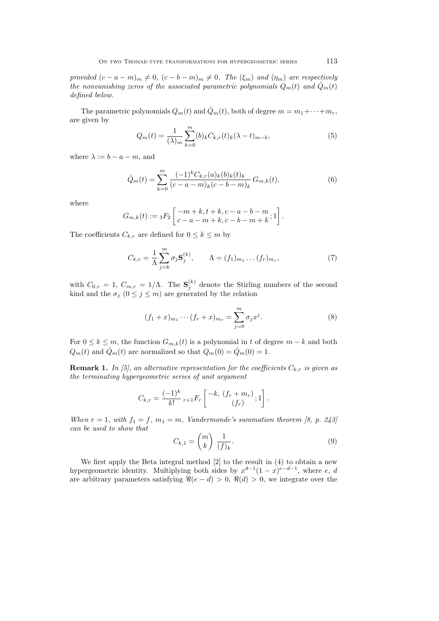provided  $(c-a-m)<sub>m</sub> \neq 0$ ,  $(c-b-m)<sub>m</sub> \neq 0$ . The  $(\xi_m)$  and  $(\eta_m)$  are respectively *the nonvanishing zeros of the associated parametric polynomials*  $Q_m(t)$  and  $\hat{Q}_m(t)$ *defined below.*

The parametric polynomials  $Q_m(t)$  and  $\hat{Q}_m(t)$ , both of degree  $m = m_1 + \cdots + m_r$ , are given by

$$
Q_m(t) = \frac{1}{(\lambda)_m} \sum_{k=0}^m (b)_k C_{k,r}(t)_k (\lambda - t)_{m-k},
$$
\n(5)

where  $\lambda := b - a - m$ , and

$$
\hat{Q}_m(t) = \sum_{k=0}^m \frac{(-1)^k C_{k,r}(a)_k(b)_k(t)_k}{(c-a-m)_k(c-b-m)_k} G_{m,k}(t),\tag{6}
$$

where

$$
G_{m,k}(t) := {}_3F_2 \left[ \begin{matrix} -m+k, t+k, c-a-b-m \\ c-a-m+k, c-b-m+k \end{matrix}; 1 \right].
$$

The coefficients  $C_{k,r}$  are defined for  $0 \leq k \leq m$  by

$$
C_{k,r} = \frac{1}{\Lambda} \sum_{j=k}^{m} \sigma_j \mathbf{S}_j^{(k)}, \qquad \Lambda = (f_1)_{m_1} \dots (f_r)_{m_r},\tag{7}
$$

with  $C_{0,r} = 1, C_{m,r} = 1/\Lambda$ . The  $S_j^{(k)}$  denote the Stirling numbers of the second kind and the  $\sigma_j$  ( $0 \leq j \leq m$ ) are generated by the relation

$$
(f_1 + x)_{m_1} \cdots (f_r + x)_{m_r} = \sum_{j=0}^{m} \sigma_j x^j.
$$
 (8)

For  $0 \leq k \leq m$ , the function  $G_{m,k}(t)$  is a polynomial in *t* of degree  $m - k$  and both  $Q_m(t)$  and  $\hat{Q}_m(t)$  are normalized so that  $Q_m(0) = \hat{Q}_m(0) = 1$ .

**Remark 1.** In [5], an alternative representation for the coefficients  $C_{k,r}$  is given as *the terminating hypergeometric series of unit argument*

$$
C_{k,r} = \frac{(-1)^k}{k!} r_{+1} F_r \left[ \begin{array}{c} -k, (f_r + m_r) \\ (f_r) \end{array}; 1 \right].
$$

*When*  $r = 1$ *, with*  $f_1 = f$ *,*  $m_1 = m$ *, Vandermonde's summation theorem [8, p. 243] can be used to show that*

$$
C_{k,1} = \binom{m}{k} \frac{1}{(f)_k}.\tag{9}
$$

We first apply the Beta integral method [2] to the result in (4) to obtain a new hypergeometric identity. Multiplying both sides by  $x^{d-1}(1-x)^{e-d-1}$ , where *e*, *d* are arbitrary parameters satisfying  $\Re(e - d) > 0$ ,  $\Re(d) > 0$ , we integrate over the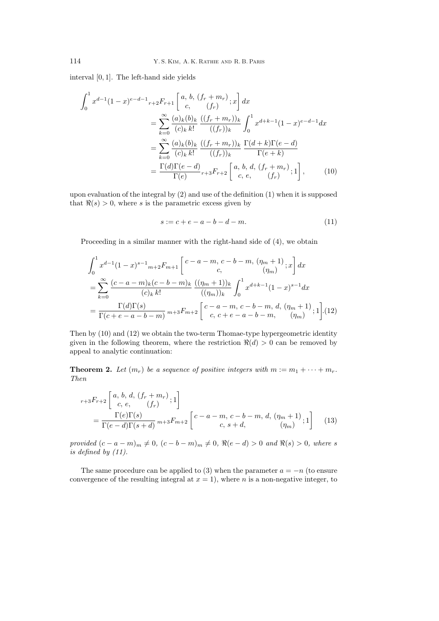interval [0*,* 1]. The left-hand side yields

$$
\int_{0}^{1} x^{d-1} (1-x)^{e-d-1} r + 2F_{r+1} \left[ \begin{array}{c} a, b, (f_{r} + m_{r}) \\ c, (f_{r}) \end{array} ; x \right] dx
$$
  
\n
$$
= \sum_{k=0}^{\infty} \frac{(a)_{k}(b)_{k}}{(c)_{k} k!} \frac{((f_{r} + m_{r}))_{k}}{((f_{r}))_{k}} \int_{0}^{1} x^{d+k-1} (1-x)^{e-d-1} dx
$$
  
\n
$$
= \sum_{k=0}^{\infty} \frac{(a)_{k}(b)_{k}}{(c)_{k} k!} \frac{((f_{r} + m_{r}))_{k}}{((f_{r}))_{k}} \frac{\Gamma(d+k)\Gamma(e-d)}{\Gamma(e+k)}
$$
  
\n
$$
= \frac{\Gamma(d)\Gamma(e-d)}{\Gamma(e)} r + 3F_{r+2} \left[ \begin{array}{c} a, b, d, (f_{r} + m_{r}) \\ c, e, (f_{r}) \end{array} ; 1 \right], \qquad (10)
$$

upon evaluation of the integral by (2) and use of the definition (1) when it is supposed that  $\Re(s) > 0$ , where *s* is the parametric excess given by

$$
s := c + e - a - b - d - m. \tag{11}
$$

Proceeding in a similar manner with the right-hand side of (4), we obtain

$$
\int_{0}^{1} x^{d-1} (1-x)^{s-1} {}_{m+2}F_{m+1} \left[ \begin{array}{c} c-a-m, c-b-m, (\eta_{m}+1) \\ c, \end{array} \right] dx
$$
  
= 
$$
\sum_{k=0}^{\infty} \frac{(c-a-m)_{k}(c-b-m)_{k}}{(c)_{k} k!} \frac{((\eta_{m}+1))_{k}}{((\eta_{m}))_{k}} \int_{0}^{1} x^{d+k-1} (1-x)^{s-1} dx
$$
  
= 
$$
\frac{\Gamma(d)\Gamma(s)}{\Gamma(c+e-a-b-m)} \frac{m+3}{}_{m+2} \left[ \begin{array}{c} c-a-m, c-b-m, d, (\eta_{m}+1) \\ c, c+e-a-b-m, \end{array} \right] (12)
$$

Then by (10) and (12) we obtain the two-term Thomae-type hypergeometric identity given in the following theorem, where the restriction  $\Re(d) > 0$  can be removed by appeal to analytic continuation:

**Theorem 2.** Let  $(m_r)$  be a sequence of positive integers with  $m := m_1 + \cdots + m_r$ . *Then*

$$
r+3F_{r+2}\begin{bmatrix}a, b, d, (f_r + m_r), 1\\c, e, (f_r)\end{bmatrix}
$$
  
= 
$$
\frac{\Gamma(e)\Gamma(s)}{\Gamma(e-d)\Gamma(s+d)} m+3F_{m+2}\begin{bmatrix}c-a-m, c-b-m, d, (\eta_m+1), 1\\c, s+d, ( \eta_m)\end{bmatrix}
$$
 (13)

provided  $(c - a - m)_m \neq 0$ ,  $(c - b - m)_m \neq 0$ ,  $\Re(e - d) > 0$  and  $\Re(s) > 0$ , where s *is defined by (11).*

The same procedure can be applied to (3) when the parameter  $a = -n$  (to ensure convergence of the resulting integral at  $x = 1$ ), where *n* is a non-negative integer, to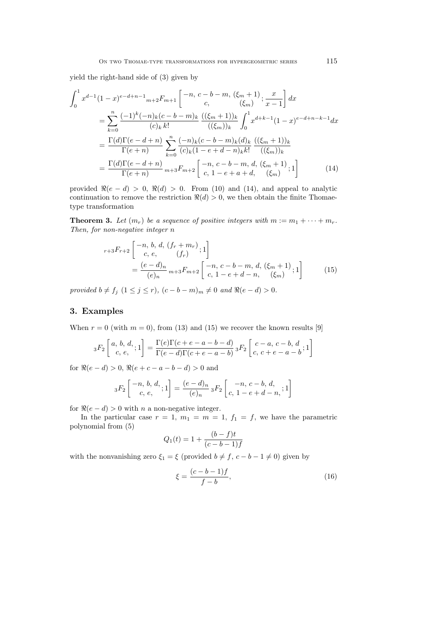yield the right-hand side of (3) given by

$$
\int_{0}^{1} x^{d-1} (1-x)^{e-d+n-1} m+2F_{m+1} \left[ \begin{array}{cc} -n, c-b-m, (\xi_{m}+1) \\ c, & (\xi_{m}) \end{array} ; \frac{x}{x-1} \right] dx
$$
  
\n
$$
= \sum_{k=0}^{n} \frac{(-1)^{k} (-n)_{k} (c-b-m)_{k}}{(c)_{k} k!} \frac{((\xi_{m}+1))_{k}}{((\xi_{m}))_{k}} \int_{0}^{1} x^{d+k-1} (1-x)^{e-d+n-k-1} dx
$$
  
\n
$$
= \frac{\Gamma(d)\Gamma(e-d+n)}{\Gamma(e+n)} \sum_{k=0}^{n} \frac{(-n)_{k} (c-b-m)_{k} (d)_{k}}{(c)_{k} (1-e+d-n)_{k} k!} \frac{((\xi_{m}+1))_{k}}{((\xi_{m}))_{k}}
$$
  
\n
$$
= \frac{\Gamma(d)\Gamma(e-d+n)}{\Gamma(e+n)} m+3F_{m+2} \left[ \begin{array}{cc} -n, c-b-m, d, (\xi_{m}+1) \\ c, 1-e+a+d, & (\xi_{m}) \end{array} ; 1 \right]
$$
(14)

provided  $\Re(e - d) > 0$ ,  $\Re(d) > 0$ . From (10) and (14), and appeal to analytic continuation to remove the restriction  $\Re(d) > 0$ , we then obtain the finite Thomaetype transformation

**Theorem 3.** Let  $(m_r)$  be a sequence of positive integers with  $m := m_1 + \cdots + m_r$ . *Then, for non-negative integer n*

$$
{}_{r+3}F_{r+2}\left[\begin{array}{c} -n, b, d, (f_r + m_r) \\ c, e, (f_r) \end{array}; 1\right]
$$
  
= 
$$
\frac{(e - d)_n}{(e)_n} {}_{m+3}F_{m+2}\left[\begin{array}{c} -n, c - b - m, d, (\xi_m + 1) \\ c, 1 - e + d - n, (\xi_m) \end{array}; 1\right]
$$
(15)

provided  $b \neq f_j$   $(1 \leq j \leq r)$ ,  $(c - b - m)_m \neq 0$  and  $\Re(e - d) > 0$ .

# **3. Examples**

When  $r = 0$  (with  $m = 0$ ), from (13) and (15) we recover the known results [9]

$$
{}_3F_2\left[ \begin{array}{c} a, b, d, \\ c, e, \end{array}; 1 \right] = \frac{\Gamma(e)\Gamma(c + e - a - b - d)}{\Gamma(e - d)\Gamma(c + e - a - b)} {}_3F_2\left[ \begin{array}{c} c - a, c - b, d \\ c, c + e - a - b \end{array}; 1 \right]
$$

for  $\Re(e - d) > 0$ ,  $\Re(e + c - a - b - d) > 0$  and

$$
{}_3F_2\left[ \begin{array}{c} -n, b, d, \\ c, e, \end{array}; 1 \right] = \frac{(e - d)_n}{(e)_n} {}_3F_2\left[ \begin{array}{c} -n, c - b, d, \\ c, 1 - e + d - n, \end{array}; 1 \right]
$$

for  $\Re(e - d) > 0$  with *n* a non-negative integer.

In the particular case  $r = 1$ ,  $m_1 = m = 1$ ,  $f_1 = f$ , we have the parametric polynomial from (5)

$$
Q_1(t) = 1 + \frac{(b - f)t}{(c - b - 1)f}
$$

with the nonvanishing zero  $\xi_1 = \xi$  (provided  $b \neq f$ ,  $c - b - 1 \neq 0$ ) given by

$$
\xi = \frac{(c-b-1)f}{f-b},\tag{16}
$$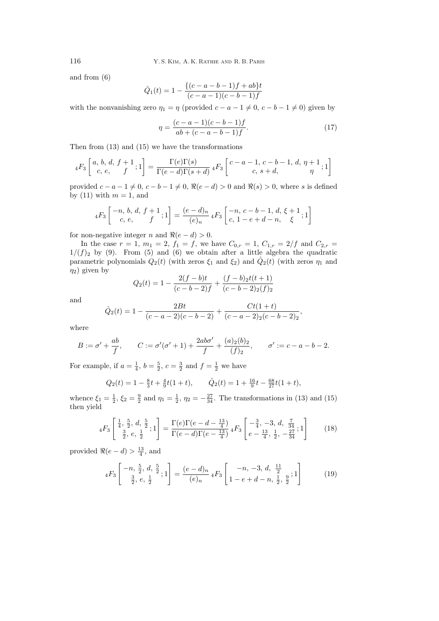and from (6)

$$
\hat{Q}_1(t) = 1 - \frac{\{(c-a-b-1)f + ab\}t}{(c-a-1)(c-b-1)f}
$$

with the nonvanishing zero  $\eta_1 = \eta$  (provided  $c - a - 1 \neq 0$ ,  $c - b - 1 \neq 0$ ) given by

$$
\eta = \frac{(c-a-1)(c-b-1)f}{ab + (c-a-b-1)f}.
$$
\n(17)

Then from (13) and (15) we have the transformations

$$
{}_4F_3\left[\begin{array}{c} a, b, d, f+1 \\ c, e, \end{array} ; 1\right] = \frac{\Gamma(e)\Gamma(s)}{\Gamma(e-d)\Gamma(s+d)} \, {}_4F_3\left[\begin{array}{c} c-a-1, c-b-1, d, \eta+1 \\ c, s+d, \end{array} ; 1\right]
$$

provided  $c - a - 1 \neq 0$ ,  $c - b - 1 \neq 0$ ,  $\Re(e - d) > 0$  and  $\Re(s) > 0$ , where *s* is defined by (11) with  $m = 1$ , and

$$
{}_4F_3\left[\begin{array}{c} -n, b, d, f+1 \\ c, e, \end{array}; 1\right] = \frac{(e-d)_n}{(e)_n} {}_4F_3\left[\begin{array}{c} -n, c-b-1, d, \xi+1 \\ c, 1-e+d-n, \xi \end{array}; 1\right]
$$

for non-negative integer *n* and  $\Re(e - d) > 0$ .

In the case  $r = 1$ ,  $m_1 = 2$ ,  $f_1 = f$ , we have  $C_{0,r} = 1$ ,  $C_{1,r} = 2/f$  and  $C_{2,r} =$  $1/(f)_2$  by (9). From (5) and (6) we obtain after a little algebra the quadratic parametric polynomials  $Q_2(t)$  (with zeros  $\xi_1$  and  $\xi_2$ ) and  $\hat{Q}_2(t)$  (with zeros  $\eta_1$  and  $\eta_2$ ) given by

$$
Q_2(t) = 1 - \frac{2(f - b)t}{(c - b - 2)f} + \frac{(f - b)2(t + 1)}{(c - b - 2)2(f)_2}
$$

and

$$
\hat{Q}_2(t) = 1 - \frac{2Bt}{(c-a-2)(c-b-2)} + \frac{Ct(1+t)}{(c-a-2)(c-b-2)(c-b-2)}
$$

where

$$
B := \sigma' + \frac{ab}{f}, \qquad C := \sigma'(\sigma' + 1) + \frac{2ab\sigma'}{f} + \frac{(a)_2(b)_2}{(f)_2}, \qquad \sigma' := c - a - b - 2.
$$

For example, if  $a = \frac{1}{4}$ ,  $b = \frac{5}{2}$ ,  $c = \frac{3}{2}$  and  $f = \frac{1}{2}$  we have

$$
Q_2(t) = 1 - \frac{8}{3}t + \frac{4}{9}t(1+t),
$$
  $\hat{Q}_2(t) = 1 + \frac{16}{9}t - \frac{68}{27}t(1+t),$ 

whence  $\xi_1 = \frac{1}{2}$ ,  $\xi_2 = \frac{9}{2}$  and  $\eta_1 = \frac{1}{2}$ ,  $\eta_2 = -\frac{27}{34}$ . The transformations in (13) and (15) then yield

$$
{}_{4}F_{3}\left[\begin{array}{cc} \frac{1}{4}, \frac{5}{2}, d, \frac{5}{2} \\ \frac{3}{2}, e, \frac{1}{2} \end{array}; 1\right] = \frac{\Gamma(e)\Gamma(e - d - \frac{13}{4})}{\Gamma(e - d)\Gamma(e - \frac{13}{4})} {}_{4}F_{3}\left[\begin{array}{cc} -\frac{3}{4}, -3, d, \frac{7}{34} \\ e - \frac{13}{4}, \frac{1}{2}, -\frac{27}{34} \end{array}; 1\right] \tag{18}
$$

provided  $\Re(e - d) > \frac{13}{4}$ , and

$$
{}_4F_3\left[\begin{array}{c} -n, \frac{5}{2}, d, \frac{5}{2} \\ \frac{3}{2}, e, \frac{1}{2} \end{array}; 1\right] = \frac{(e-d)_n}{(e)_n} {}_4F_3\left[\begin{array}{c} -n, -3, d, \frac{11}{2} \\ 1 - e + d - n, \frac{1}{2}, \frac{9}{2} \end{array}; 1\right] \tag{19}
$$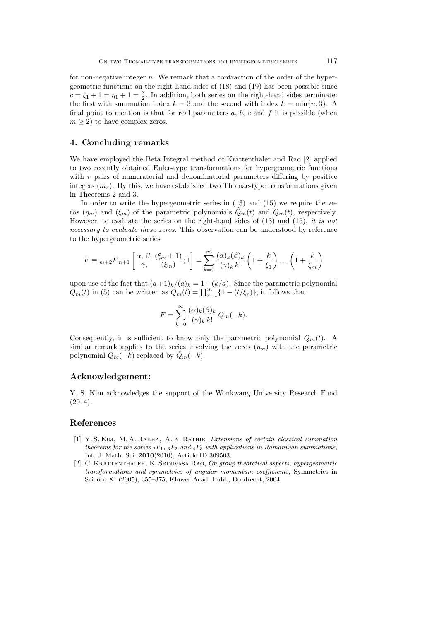for non-negative integer *n*. We remark that a contraction of the order of the hypergeometric functions on the right-hand sides of (18) and (19) has been possible since  $c = \xi_1 + 1 = \eta_1 + 1 = \frac{3}{2}$ . In addition, both series on the right-hand sides terminate: the first with summation index  $k = 3$  and the second with index  $k = \min\{n, 3\}$ . A final point to mention is that for real parameters  $a, b, c$  and  $f$  it is possible (when  $m \geq 2$  to have complex zeros.

## **4. Concluding remarks**

We have employed the Beta Integral method of Krattenthaler and Rao [2] applied to two recently obtained Euler-type transformations for hypergeometric functions with r pairs of numeratorial and denominatorial parameters differing by positive integers  $(m_r)$ . By this, we have established two Thomae-type transformations given in Theorems 2 and 3.

In order to write the hypergeometric series in (13) and (15) we require the zeros  $(\eta_m)$  and  $(\xi_m)$  of the parametric polynomials  $\hat{Q}_m(t)$  and  $Q_m(t)$ , respectively. However, to evaluate the series on the right-hand sides of (13) and (15), *it is not necessary to evaluate these zeros*. This observation can be understood by reference to the hypergeometric series

$$
F \equiv {}_{m+2}F_{m+1}\left[\begin{array}{cc} \alpha, \beta, (\xi_m + 1) \\ \gamma, \end{array}; 1\right] = \sum_{k=0}^{\infty} \frac{(\alpha)_k(\beta)_k}{(\gamma)_k k!} \left(1 + \frac{k}{\xi_1}\right) \dots \left(1 + \frac{k}{\xi_m}\right)
$$

upon use of the fact that  $(a+1)_k/(a)_k = 1 + (k/a)$ . Since the parametric polynomial  $Q_m(t)$  in (5) can be written as  $Q_m(t) = \prod_{r=1}^m \{1 - (t/\xi_r)\}\text{, it follows that}$ 

$$
F = \sum_{k=0}^{\infty} \frac{(\alpha)_k (\beta)_k}{(\gamma)_k k!} Q_m(-k).
$$

Consequently, it is sufficient to know only the parametric polynomial  $Q_m(t)$ . A similar remark applies to the series involving the zeros  $(\eta_m)$  with the parametric polynomial  $Q_m(-k)$  replaced by  $\tilde{Q}_m(-k)$ .

### **Acknowledgement:**

Y. S. Kim acknowledges the support of the Wonkwang University Research Fund (2014).

## **References**

- [1] Y. S. Kim, M. A. Rakha, A. K. Rathie, *Extensions of certain classical summation theorems for the series*  ${}_2F_1$ ,  ${}_3F_2$  *and*  ${}_4F_3$  *with applications in Ramanujan summations*, Int. J. Math. Sci. **2010**(2010), Article ID 309503.
- [2] C. Krattenthaler, K. Srinivasa Rao, *On group theoretical aspects, hypergeometric transformations and symmetries of angular momentum coefficients*, Symmetries in Science XI (2005), 355–375, Kluwer Acad. Publ., Dordrecht, 2004.